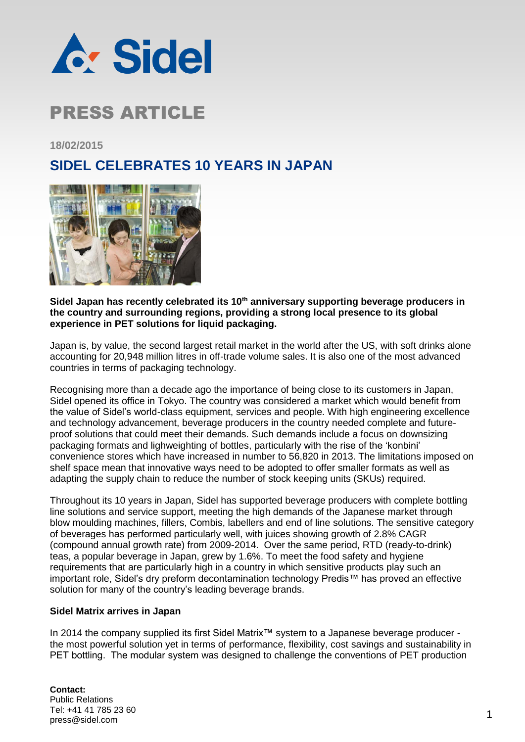

### PRESS ARTICLE

**18/02/2015**

### **SIDEL CELEBRATES 10 YEARS IN JAPAN**



#### **Sidel Japan has recently celebrated its 10th anniversary supporting beverage producers in the country and surrounding regions, providing a strong local presence to its global experience in PET solutions for liquid packaging.**

Japan is, by value, the second largest retail market in the world after the US, with soft drinks alone accounting for 20,948 million litres in off-trade volume sales. It is also one of the most advanced countries in terms of packaging technology.

Recognising more than a decade ago the importance of being close to its customers in Japan, Sidel opened its office in Tokyo. The country was considered a market which would benefit from the value of Sidel's world-class equipment, services and people. With high engineering excellence and technology advancement, beverage producers in the country needed complete and futureproof solutions that could meet their demands. Such demands include a focus on downsizing packaging formats and lighweighting of bottles, particularly with the rise of the 'konbini' convenience stores which have increased in number to 56,820 in 2013. The limitations imposed on shelf space mean that innovative ways need to be adopted to offer smaller formats as well as adapting the supply chain to reduce the number of stock keeping units (SKUs) required.

Throughout its 10 years in Japan, Sidel has supported beverage producers with complete bottling line solutions and service support, meeting the high demands of the Japanese market through blow moulding machines, fillers, Combis, labellers and end of line solutions. The sensitive category of beverages has performed particularly well, with juices showing growth of 2.8% CAGR (compound annual growth rate) from 2009-2014. Over the same period, RTD (ready-to-drink) teas, a popular beverage in Japan, grew by 1.6%. To meet the food safety and hygiene requirements that are particularly high in a country in which sensitive products play such an important role, Sidel's dry preform decontamination technology Predis™ has proved an effective solution for many of the country's leading beverage brands.

#### **Sidel Matrix arrives in Japan**

In 2014 the company supplied its first Sidel Matrix™ system to a Japanese beverage producer the most powerful solution yet in terms of performance, flexibility, cost savings and sustainability in PET bottling. The modular system was designed to challenge the conventions of PET production

**Contact:** Public Relations Tel: +41 41 785 23 60 Tel. +41 41 765 23 60<br>press@sidel.com 1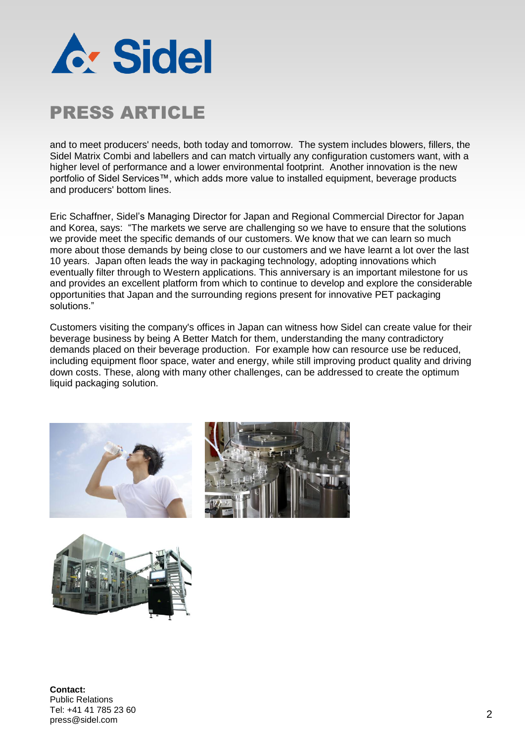

# PRESS ARTICLE

and to meet producers' needs, both today and tomorrow. The system includes blowers, fillers, the Sidel Matrix Combi and labellers and can match virtually any configuration customers want, with a higher level of performance and a lower environmental footprint. Another innovation is the new portfolio of Sidel Services™, which adds more value to installed equipment, beverage products and producers' bottom lines.

Eric Schaffner, Sidel's Managing Director for Japan and Regional Commercial Director for Japan and Korea, says: "The markets we serve are challenging so we have to ensure that the solutions we provide meet the specific demands of our customers. We know that we can learn so much more about those demands by being close to our customers and we have learnt a lot over the last 10 years. Japan often leads the way in packaging technology, adopting innovations which eventually filter through to Western applications. This anniversary is an important milestone for us and provides an excellent platform from which to continue to develop and explore the considerable opportunities that Japan and the surrounding regions present for innovative PET packaging solutions."

Customers visiting the company's offices in Japan can witness how Sidel can create value for their beverage business by being A Better Match for them, understanding the many contradictory demands placed on their beverage production. For example how can resource use be reduced, including equipment floor space, water and energy, while still improving product quality and driving down costs. These, along with many other challenges, can be addressed to create the optimum liquid packaging solution.